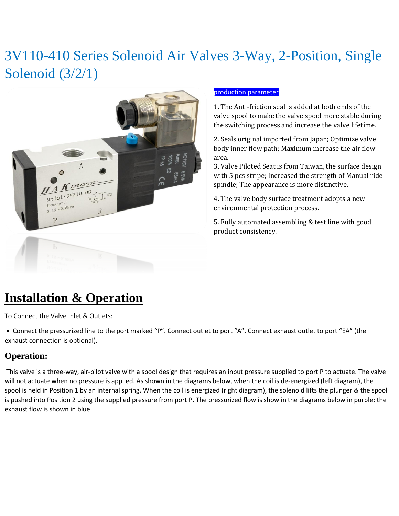# 3V110-410 Series Solenoid Air Valves 3-Way, 2-Position, Single Solenoid (3/2/1)



#### production parameter

1. The Anti-friction seal is added at both ends of the valve spool to make the valve spool more stable during the switching process and increase the valve lifetime.

2. Seals original imported from Japan; Optimize valve body inner flow path; Maximum increase the air flow area.

3. Valve Piloted Seat is from Taiwan, the surface design with 5 pcs stripe; Increased the strength of Manual ride spindle; The appearance is more distinctive.

4. The valve body surface treatment adopts a new environmental protection process.

5. Fully automated assembling & test line with good product consistency.

## **Installation & Operation**

To Connect the Valve Inlet & Outlets:

• Connect the pressurized line to the port marked "P". Connect outlet to port "A". Connect exhaust outlet to port "EA" (the exhaust connection is optional).

## **Operation:**

This valve is a three-way, air-pilot valve with a spool design that requires an input pressure supplied to port P to actuate. The valve will not actuate when no pressure is applied. As shown in the diagrams below, when the coil is de-energized (left diagram), the spool is held in Position 1 by an internal spring. When the coil is energized (right diagram), the solenoid lifts the plunger & the spool is pushed into Position 2 using the supplied pressure from port P. The pressurized flow is show in the diagrams below in purple; the exhaust flow is shown in blue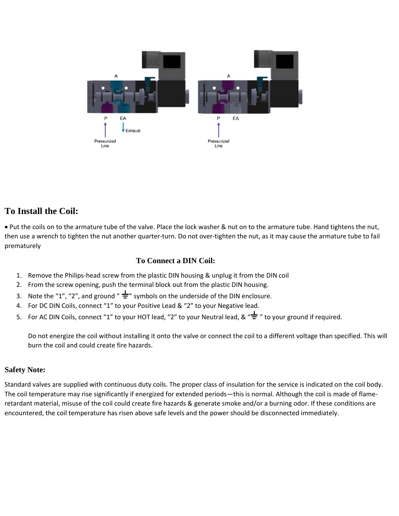

### **To Install the Coil:**

• Put the coils on to the armature tube of the valve. Place the lock washer & nut on to the armature tube. Hand tightens the nut, then use a wrench to tighten the nut another quarter-turn. Do not over-tighten the nut, as it may cause the armature tube to fail prematurely

#### **To Connect a DIN Coil:**

- 1. Remove the Philips-head screw from the plastic DIN housing & unplug it from the DIN coil
- 2. From the screw opening, push the terminal block out from the plastic DIN housing.
- 3. Note the "1", "2", and ground "  $\frac{1}{n}$ " symbols on the underside of the DIN enclosure.
- 4. For DC DIN Coils, connect "1" to your Positive Lead & "2" to your Negative lead.
- 5. For AC DIN Coils, connect "1" to your HOT lead, "2" to your Neutral lead,  $\& \xrightarrow{d}$ " to your ground if required.

Do not energize the coil without installing it onto the valve or connect the coil to a different voltage than specified. This will burn the coil and could create fire hazards.

#### **Safety Note:**

Standard valves are supplied with continuous duty coils. The proper class of insulation for the service is indicated on the coil body. The coil temperature may rise significantly if energized for extended periods—this is normal. Although the coil is made of flameretardant material, misuse of the coil could create fire hazards & generate smoke and/or a burning odor. If these conditions are encountered, the coil temperature has risen above safe levels and the power should be disconnected immediately.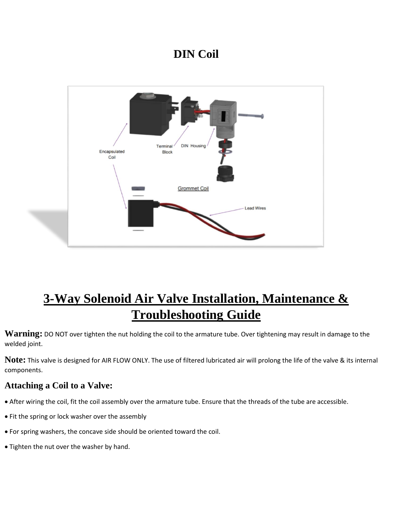## **DIN Coil**



# **3-Way Solenoid Air Valve Installation, Maintenance & Troubleshooting Guide**

**Warning:** DO NOT over tighten the nut holding the coil to the armature tube. Over tightening may result in damage to the welded joint.

**Note:** This valve is designed for AIR FLOW ONLY. The use of filtered lubricated air will prolong the life of the valve & its internal components.

### **Attaching a Coil to a Valve:**

- After wiring the coil, fit the coil assembly over the armature tube. Ensure that the threads of the tube are accessible.
- Fit the spring or lock washer over the assembly
- For spring washers, the concave side should be oriented toward the coil.
- Tighten the nut over the washer by hand.